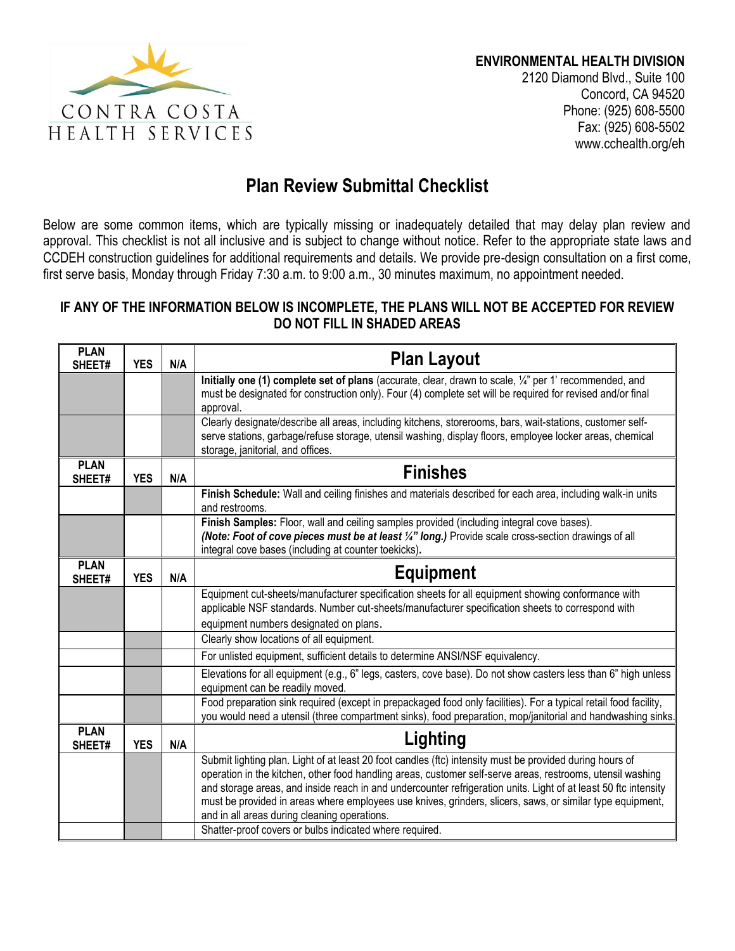

2120 Diamond Blvd., Suite 100 Concord, CA 94520 Phone: (925) 608-5500 Fax: (925) 608-5502 www.cchealth.org/eh

## **Plan Review Submittal Checklist**

Below are some common items, which are typically missing or inadequately detailed that may delay plan review and approval. This checklist is not all inclusive and is subject to change without notice. Refer to the appropriate state laws and CCDEH construction guidelines for additional requirements and details. We provide pre-design consultation on a first come, first serve basis, Monday through Friday 7:30 a.m. to 9:00 a.m., 30 minutes maximum, no appointment needed.

## **IF ANY OF THE INFORMATION BELOW IS INCOMPLETE, THE PLANS WILL NOT BE ACCEPTED FOR REVIEW DO NOT FILL IN SHADED AREAS**

| <b>PLAN</b><br>SHEET# | <b>YES</b> | N/A | <b>Plan Layout</b>                                                                                                                                                                                                                                                                                                                                                                                                                                                                                                                                                |  |  |  |
|-----------------------|------------|-----|-------------------------------------------------------------------------------------------------------------------------------------------------------------------------------------------------------------------------------------------------------------------------------------------------------------------------------------------------------------------------------------------------------------------------------------------------------------------------------------------------------------------------------------------------------------------|--|--|--|
|                       |            |     | Initially one (1) complete set of plans (accurate, clear, drawn to scale, $\frac{1}{4}$ per 1' recommended, and<br>must be designated for construction only). Four (4) complete set will be required for revised and/or final<br>approval.                                                                                                                                                                                                                                                                                                                        |  |  |  |
|                       |            |     | Clearly designate/describe all areas, including kitchens, storerooms, bars, wait-stations, customer self-<br>serve stations, garbage/refuse storage, utensil washing, display floors, employee locker areas, chemical<br>storage, janitorial, and offices.                                                                                                                                                                                                                                                                                                        |  |  |  |
| <b>PLAN</b><br>SHEET# | <b>YES</b> | N/A | <b>Finishes</b>                                                                                                                                                                                                                                                                                                                                                                                                                                                                                                                                                   |  |  |  |
|                       |            |     | Finish Schedule: Wall and ceiling finishes and materials described for each area, including walk-in units<br>and restrooms.                                                                                                                                                                                                                                                                                                                                                                                                                                       |  |  |  |
|                       |            |     | Finish Samples: Floor, wall and ceiling samples provided (including integral cove bases).<br>(Note: Foot of cove pieces must be at least 1/4" long.) Provide scale cross-section drawings of all<br>integral cove bases (including at counter toekicks).                                                                                                                                                                                                                                                                                                          |  |  |  |
| <b>PLAN</b><br>SHEET# | <b>YES</b> | N/A | <b>Equipment</b>                                                                                                                                                                                                                                                                                                                                                                                                                                                                                                                                                  |  |  |  |
|                       |            |     | Equipment cut-sheets/manufacturer specification sheets for all equipment showing conformance with<br>applicable NSF standards. Number cut-sheets/manufacturer specification sheets to correspond with                                                                                                                                                                                                                                                                                                                                                             |  |  |  |
|                       |            |     | equipment numbers designated on plans.<br>Clearly show locations of all equipment.                                                                                                                                                                                                                                                                                                                                                                                                                                                                                |  |  |  |
|                       |            |     | For unlisted equipment, sufficient details to determine ANSI/NSF equivalency.                                                                                                                                                                                                                                                                                                                                                                                                                                                                                     |  |  |  |
|                       |            |     | Elevations for all equipment (e.g., 6" legs, casters, cove base). Do not show casters less than 6" high unless<br>equipment can be readily moved.                                                                                                                                                                                                                                                                                                                                                                                                                 |  |  |  |
|                       |            |     | Food preparation sink required (except in prepackaged food only facilities). For a typical retail food facility,<br>you would need a utensil (three compartment sinks), food preparation, mop/janitorial and handwashing sinks.                                                                                                                                                                                                                                                                                                                                   |  |  |  |
| <b>PLAN</b><br>SHEET# | <b>YES</b> | N/A | Lighting                                                                                                                                                                                                                                                                                                                                                                                                                                                                                                                                                          |  |  |  |
|                       |            |     | Submit lighting plan. Light of at least 20 foot candles (ftc) intensity must be provided during hours of<br>operation in the kitchen, other food handling areas, customer self-serve areas, restrooms, utensil washing<br>and storage areas, and inside reach in and undercounter refrigeration units. Light of at least 50 ftc intensity<br>must be provided in areas where employees use knives, grinders, slicers, saws, or similar type equipment,<br>and in all areas during cleaning operations.<br>Shatter-proof covers or bulbs indicated where required. |  |  |  |
|                       |            |     |                                                                                                                                                                                                                                                                                                                                                                                                                                                                                                                                                                   |  |  |  |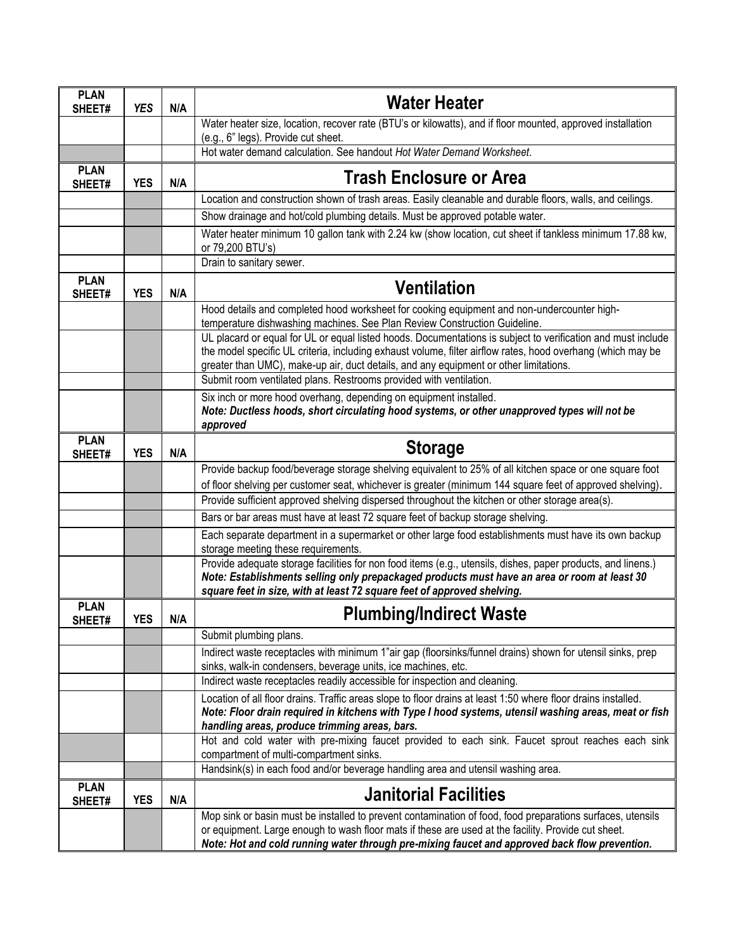| <b>PLAN</b><br>SHEET# | <b>YES</b> | N/A | <b>Water Heater</b>                                                                                                                                                                                                                                                                                                  |  |  |  |  |  |  |
|-----------------------|------------|-----|----------------------------------------------------------------------------------------------------------------------------------------------------------------------------------------------------------------------------------------------------------------------------------------------------------------------|--|--|--|--|--|--|
|                       |            |     | Water heater size, location, recover rate (BTU's or kilowatts), and if floor mounted, approved installation                                                                                                                                                                                                          |  |  |  |  |  |  |
|                       |            |     | (e.g., 6" legs). Provide cut sheet.<br>Hot water demand calculation. See handout Hot Water Demand Worksheet.                                                                                                                                                                                                         |  |  |  |  |  |  |
| <b>PLAN</b>           |            |     |                                                                                                                                                                                                                                                                                                                      |  |  |  |  |  |  |
| SHEET#                | <b>YES</b> | N/A | <b>Trash Enclosure or Area</b>                                                                                                                                                                                                                                                                                       |  |  |  |  |  |  |
|                       |            |     | Location and construction shown of trash areas. Easily cleanable and durable floors, walls, and ceilings.                                                                                                                                                                                                            |  |  |  |  |  |  |
|                       |            |     | Show drainage and hot/cold plumbing details. Must be approved potable water.                                                                                                                                                                                                                                         |  |  |  |  |  |  |
|                       |            |     | Water heater minimum 10 gallon tank with 2.24 kw (show location, cut sheet if tankless minimum 17.88 kw,<br>or 79,200 BTU's)                                                                                                                                                                                         |  |  |  |  |  |  |
|                       |            |     | Drain to sanitary sewer.                                                                                                                                                                                                                                                                                             |  |  |  |  |  |  |
| <b>PLAN</b><br>SHEET# | <b>YES</b> | N/A | <b>Ventilation</b>                                                                                                                                                                                                                                                                                                   |  |  |  |  |  |  |
|                       |            |     | Hood details and completed hood worksheet for cooking equipment and non-undercounter high-<br>temperature dishwashing machines. See Plan Review Construction Guideline.                                                                                                                                              |  |  |  |  |  |  |
|                       |            |     | UL placard or equal for UL or equal listed hoods. Documentations is subject to verification and must include<br>the model specific UL criteria, including exhaust volume, filter airflow rates, hood overhang (which may be<br>greater than UMC), make-up air, duct details, and any equipment or other limitations. |  |  |  |  |  |  |
|                       |            |     | Submit room ventilated plans. Restrooms provided with ventilation.                                                                                                                                                                                                                                                   |  |  |  |  |  |  |
|                       |            |     | Six inch or more hood overhang, depending on equipment installed.<br>Note: Ductless hoods, short circulating hood systems, or other unapproved types will not be<br>approved                                                                                                                                         |  |  |  |  |  |  |
| <b>PLAN</b><br>SHEET# | <b>YES</b> | N/A | <b>Storage</b>                                                                                                                                                                                                                                                                                                       |  |  |  |  |  |  |
|                       |            |     | Provide backup food/beverage storage shelving equivalent to 25% of all kitchen space or one square foot                                                                                                                                                                                                              |  |  |  |  |  |  |
|                       |            |     | of floor shelving per customer seat, whichever is greater (minimum 144 square feet of approved shelving).                                                                                                                                                                                                            |  |  |  |  |  |  |
|                       |            |     | Provide sufficient approved shelving dispersed throughout the kitchen or other storage area(s).                                                                                                                                                                                                                      |  |  |  |  |  |  |
|                       |            |     | Bars or bar areas must have at least 72 square feet of backup storage shelving.                                                                                                                                                                                                                                      |  |  |  |  |  |  |
|                       |            |     | Each separate department in a supermarket or other large food establishments must have its own backup<br>storage meeting these requirements.                                                                                                                                                                         |  |  |  |  |  |  |
|                       |            |     | Provide adequate storage facilities for non food items (e.g., utensils, dishes, paper products, and linens.)                                                                                                                                                                                                         |  |  |  |  |  |  |
|                       |            |     | Note: Establishments selling only prepackaged products must have an area or room at least 30<br>square feet in size, with at least 72 square feet of approved shelving.                                                                                                                                              |  |  |  |  |  |  |
| <b>PLAN</b><br>SHEET# | <b>YES</b> | N/A | <b>Plumbing/Indirect Waste</b>                                                                                                                                                                                                                                                                                       |  |  |  |  |  |  |
|                       |            |     | Submit plumbing plans.                                                                                                                                                                                                                                                                                               |  |  |  |  |  |  |
|                       |            |     | Indirect waste receptacles with minimum 1"air gap (floorsinks/funnel drains) shown for utensil sinks, prep                                                                                                                                                                                                           |  |  |  |  |  |  |
|                       |            |     | sinks, walk-in condensers, beverage units, ice machines, etc.<br>Indirect waste receptacles readily accessible for inspection and cleaning.                                                                                                                                                                          |  |  |  |  |  |  |
|                       |            |     | Location of all floor drains. Traffic areas slope to floor drains at least 1:50 where floor drains installed.                                                                                                                                                                                                        |  |  |  |  |  |  |
|                       |            |     | Note: Floor drain required in kitchens with Type I hood systems, utensil washing areas, meat or fish<br>handling areas, produce trimming areas, bars.                                                                                                                                                                |  |  |  |  |  |  |
|                       |            |     | Hot and cold water with pre-mixing faucet provided to each sink. Faucet sprout reaches each sink<br>compartment of multi-compartment sinks.                                                                                                                                                                          |  |  |  |  |  |  |
|                       |            |     | Handsink(s) in each food and/or beverage handling area and utensil washing area.                                                                                                                                                                                                                                     |  |  |  |  |  |  |
| <b>PLAN</b><br>SHEET# | <b>YES</b> | N/A | <b>Janitorial Facilities</b>                                                                                                                                                                                                                                                                                         |  |  |  |  |  |  |
|                       |            |     | Mop sink or basin must be installed to prevent contamination of food, food preparations surfaces, utensils<br>or equipment. Large enough to wash floor mats if these are used at the facility. Provide cut sheet.<br>Note: Hot and cold running water through pre-mixing faucet and approved back flow prevention.   |  |  |  |  |  |  |